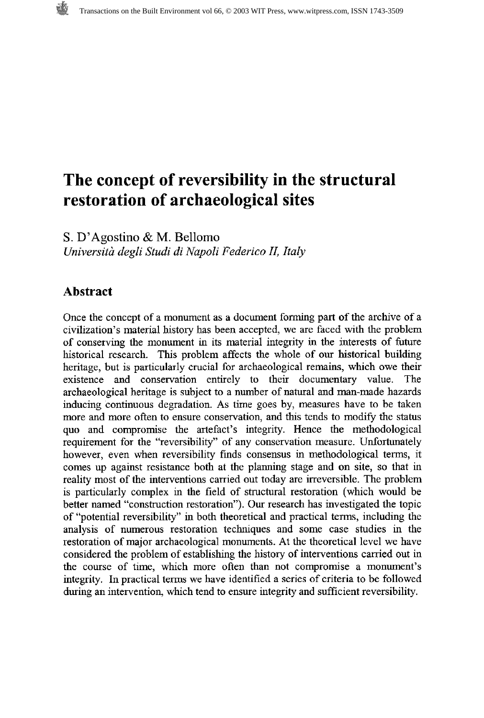# **The concept of reversibility in the structural restoration of archaeological sites**

**S.** D'Agostino & M. Bellomo *Universitci degli Studi di Nupoli Federico 17, Italy* 

### **Abstract**

Once the concept of a monument as a document forming part of the archive of a civilization's material history has been accepted, we are faced with the problem of conserving the monument in its material integrity in the interests of future historical research. This problem affects the whole of our hstorical building heritage, but is particularly crucial for archaeological remains, which owe their existence and conservation entirely to their documentary value. The archaeological heritage is subject to a number of natural and man-made hazards inducing continuous degradation. As time goes by, measures have to be taken more and more often to ensure conservation, and this tends to modify the status quo and compromise the artefact's integrity. Hence the methodological requirement for the "reversibility" of any conservation measure. Unfortunately however, even when reversibility finds consensus in methodological terms, it comes up against resistance both at the planning stage and on site, so that in reality most of the interventions carried out today are irreversible. The problem is particularly complex in the field of structural restoration (which would be better named "construction restoration"). Our research has investigated the topic of "potential reversibility" in both theoretical and practical terms, including the analysis of numerous restoration techniques and some case studies in the restoration of major archaeological monuments. At the theoretical level we have considered the problem of establishing the history of interventions carried out in the course of time, which more often than not compromise a monument's integrity. In practical terms we have identified a series of criteria to be followed during an intervention, which tend to ensure integrity and sufficient reversibility.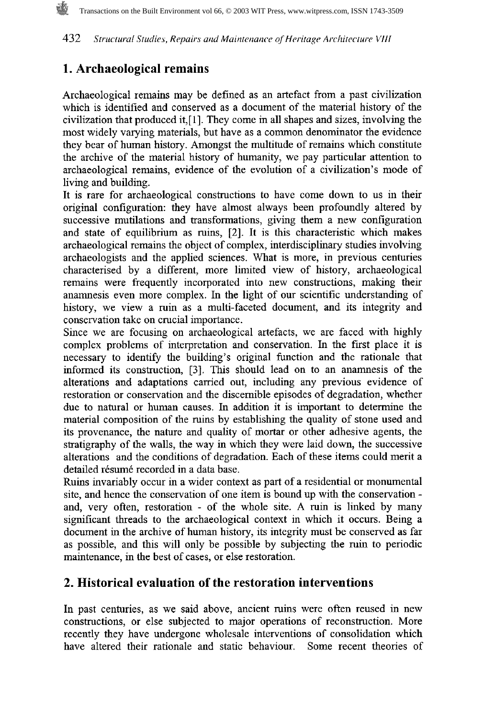# **1. Archaeological remains**

Archaeological remains may be defined as an artefact from a past civilization which is identified and conserved as a document of the material history of the civilization that produced it,[l]. They come in all shapes and sizes, involving the most widely varying materials, but have as a common denominator the evidence they bear of human history. Amongst the multitude of remains which constitute the archive of the material history of humanity, we pay particular attention to archaeological remains, evidence of the evolution of a civilization's mode of living and building.

It is rare for archaeological constructions to have come down to us in their original configuration: they have almost always been profoundly altered by successive mutilations and transformations, giving them a new configuration and state of equilibrium as ruins, [2]. It is this characteristic which makes archaeological remains the object of complex, interdisciplinary studies involving archaeologists and the applied sciences. What is more, in previous centuries characterised by a different, more limited view of history, archaeological remains were frequently incorporated into new constructions, making their anamnesis even more complex. In the light of our scientific understanding of history, we view a ruin as a multi-faceted document, and its integrity and conservation take on crucial importance.

Since we are focusing on archaeological artefacts, we are faced with highly complex problems of interpretation and conservation. In the first place it is necessary to identify the building's original function and the rationale that informed its construction, 131. This should lead on to an anamnesis of the alterations and adaptations carried out, including any previous evidence of restoration or conservation and the discernible episodes of degradation, whether due to natural or human causes. In addition it is important to determine the material composition of the ruins by establishing the quality of stone used and its provenance, the nature and quality of mortar or other adhesive agents, the stratigraphy of the walls, the way in which they were laid down, the successive alterations and the conditions of degradation. Each of these items could merit a detailed résumé recorded in a data base.

Ruins invariably occur in a wider context as part of a residential or monumental site, and hence the conservation of one item is bound up with the conservation and, very often, restoration - of the whole site. A ruin is linked by many significant threads to the archaeological context in which it occurs. Being a document in the archive of human history, its integrity must be conserved as far as possible, and this will only be possible by subjecting the ruin to periodic maintenance, in the best of cases, or else restoration.

# **2. Historical evaluation of the restoration interventions**

In past centuries, as we said above, ancient ruins were often reused in new constructions, or else subjected to major operations of reconstruction. More recently they have undergone wholesale interventions of consolidation which have altered their rationale and static behaviour. Some recent theories of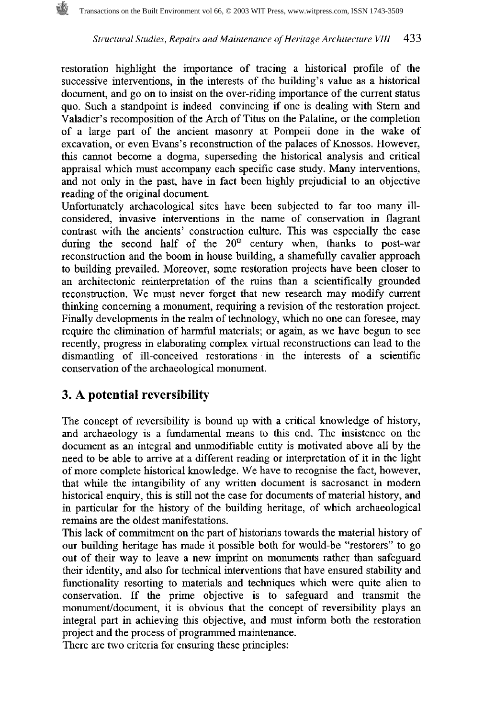restoration highlight the importance of tracing a historical profile of the successive interventions, in the interests of the building's value as a historical document, and go on to insist on the over-riding importance of the current status quo. Such a standpoint is indeed convincing if one is dealing with Stern and Valadier's recomposition of the Arch of Titus on the Palatine, or the completion of a large part of the ancient masonry at Pompeii done in the wake of excavation, or even Evans's reconstruction of the palaces of Knossos. However, this cannot become a dogma, superseding the historical analysis and critical appraisal which must accompany each specific case study. Many interventions, and not only in the past, have in fact been highly prejudicial to an objective reading of the original document.

Unfortunately archaeological sites have been subjected to far too many illconsidered, invasive interventions in the name of conservation in flagrant contrast with the ancients' construction culture. This was especially the case during the second half of the  $20<sup>th</sup>$  century when, thanks to post-war reconstruction and the boom in house building, a shamefully cavalier approach to building prevailed. Moreover, some restoration projects have been closer to an architectonic reinterpretation of the ruins than a scientifically grounded reconstruction. We must never forget that new research may modify current thinking concerning a monument, requiring a revision of the restoration project. Finally developments in the realm of technology, which no one can foresee, may require the elimination of hannful materials; or again, as we have begun to see recently, progress in elaborating complex virtual reconstructions can lead to the dismantling of ill-conceived restorations in the interests of a scientific conservation of the archaeological monument.

## **3. A potential reversibility**

The concept of reversibility is bound up with a critical knowledge of history, and archaeology is a fundamental means to this end. The insistence on the document as an integral and unmodifiable entity is motivated above all by the need to be able to arrive at a different reading or interpretation of it in the light of more complete historical knowledge. We have to recognise the fact, however, that while the intangibility of any written document is sacrosanct in modern historical enquiry, this is still not the case for documents of material history, and in particular for the history of the building heritage, of which archaeological remains are the oldest manifestations.

This lack of commitment on the part of historians towards the material history of our buildmg heritage has made it possible both for would-be "restorers" to go out of their way to leave a new imprint on monuments rather than safeguard their identity, and also for technical interventions that have ensured stability and functionality resorting to materials and techniques which were quite alien to conservation. If the prime objective is to safeguard and transmit the monumentldocument, it is obvious that the concept of reversibility plays an integral part in achieving this objective, and must inform both the restoration project and the process of programmed maintenance.

There are two criteria for ensuring these principles: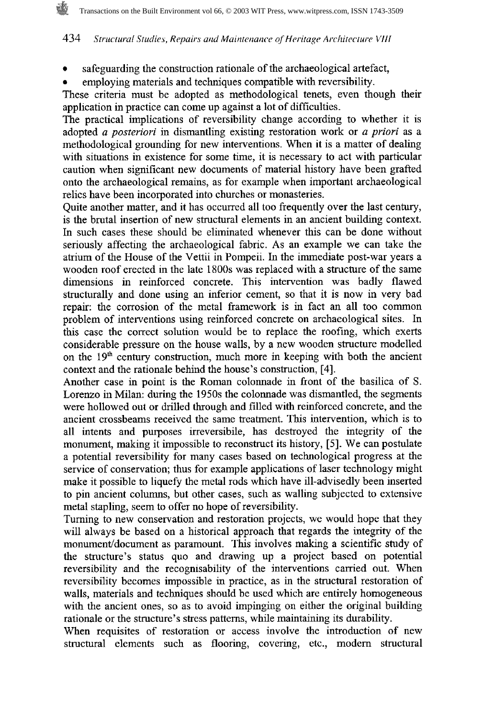- $\bullet$ safeguarding the construction rationale of the archaeological artefact,
- employing materials and techniques compatible with reversibility.

These criteria must be adopted as methodological tenets, even though their application in practice can come up against a lot of difficulties.

The practical implications of reversibility change according to whether it is adopted a **posteriori** in dismantling existing restoration work or a **priori** as a methodological grounding for new interventions. When it is a matter of dealing with situations in existence for some time, it is necessary to act with particular caution when significant new documents of material history have been grafted onto the archaeological remains, as for example when important archaeological relics have been incorporated into churches or monasteries.

Quite another matter, and it has occurred all too frequently over the last century, is the brutal insertion of new structural elements in an ancient building context. In such cases these should be eliminated whenever this can be done without seriously affecting the archaeological fabric. As an example we can take the atrium of the House of the Vettii in Pompeii. In the immediate post-war years a wooden roof erected in the late 1800s was replaced with a structure of the same dimensions in reinforced concrete. This intervention was badly flawed structurally and done using an inferior cement, so that it is now in very bad repair: the corrosion of the metal framework is in fact an all too common problem of interventions using reinforced concrete on archaeological sites. In this case the correct solution would be to replace the roofing, which exerts considerable pressure on the house walls, by a new wooden structure modelled on the  $19<sup>th</sup>$  century construction, much more in keeping with both the ancient context and the rationale behind the house's construction, [4].

Another case in point is the Roman colonnade in front of the basilica of S. Lorenzo in Milan: during the 1950s the colonnade was dismantled, the segments were hollowed out or drilled through and filled with reinforced concrete, and the ancient crossbeams received the same treatment. This intervention, which is to all intents and purposes irreversibile, has destroyed the integrity of the monument, making it impossible to reconstruct its history, [S]. We can postulate a potential reversibility for many cases based on technological progress at the service of conservation; thus for example applications of laser technology might make it possible to liquefy the metal rods which have ill-advisedly been inserted to pin ancient columns, but other cases, such as walling subjected to extensive metal stapling, seem to offer no hope of reversibility.

Turning to new conservation and restoration projects, we would hope that they will always be based on a historical approach that regards the integrity of the monument/document as paramount. This involves making a scientific study of the structure's status quo and drawing up a project based on potential reversibility and the recognisability of the interventions carried out. When reversibility becomes impossible in practice, as in the structural restoration of walls, materials and techniques should be used which are entirely homogeneous with the ancient ones, so as to avoid impinging on either the original building rationale or the structure's stress patterns, while maintaining its durability.

When requisites of restoration or access involve the introduction of new structural elements such as flooring, covering, etc., modem structural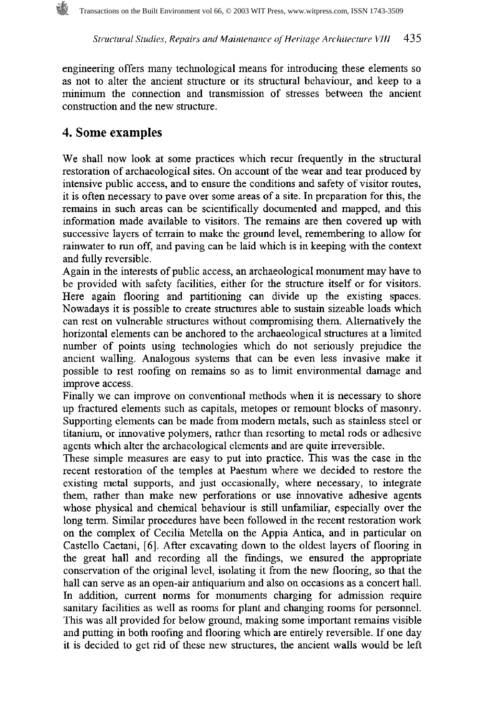engineering offers many technological means for introducing these elements so as not to alter the ancient structure or its structural behaviour, and keep to a minimum the connection and transmission of stresses between the ancient construction and the new structure.

# **4. Some examples**

We shall now look at some practices which recur frequently in the structural restoration of archaeological sites. On account of the wear and tear produced by intensive public access, and to ensure the conditions and safety of visitor routes, it is often necessary to pave over some areas of a site. In preparation for this, the remains in such areas can be scientifically documented and mapped, and this information made available to visitors. The remains are then covered up with successive layers of terrain to make the ground level, remembering to allow for rainwater to run off, and paving can be laid which is in keeping with the context and fully reversible.

Again in the interests of public access, an archaeological monument may have to be provided with safety facilities, either for the structure itself or for visitors. Here again flooring and partitioning can divide up the existing spaces. Nowadays it is possible to create structures able to sustain sizeable loads which can rest on vulnerable structures without compromising them. Alternatively the horizontal elements can be anchored to the archaeological structures at a limited number of points using technologies which do not seriously prejudice the ancient walling. Analogous systems that can be even less invasive make it possible to rest roofing on remains so as to limit environmental damage and improve access.

Finally we can improve on conventional methods when it is necessary to shore up fractured elements such as capitals, metopes or remount blocks of masonry. Supporting elements can be made from modem metals, such as stainless steel or titanium, or innovative polymers, rather than resorting to metal rods or adhesive agents which alter the archaeological elements and are quite irreversible.

These simple measures are easy to put into practice. This was the case in the recent restoration of the temples at Paestum where we decided to restore the existing metal supports, and just occasionally, where necessary, to integrate them, rather than make new perforations or use innovative adhesive agents whose physical and chemical behaviour is still unfamiliar, especially over the long term. Similar procedures have been followed in the recent restoration work on the complex of Cecilia Metella on the Appia Antica, and in particular on Caste110 Caetani, *[6].* After excavating down to the oldest layers of flooring in the great hall and recording all the findings, we ensured the appropriate conservation of the original level, isolating it from the new flooring, so that the hall can serve as an open-air antiquarium and also on occasions as a concert hall. In addition, current norms for monuments charging for admission require sanitary facilities as well as rooms for plant and changing rooms for personnel. This was all provided for below ground, making some important remains visible and putting in both roofing and flooring which are entirely reversible. If one day it is decided to get rid of these new structures, the ancient walls would be left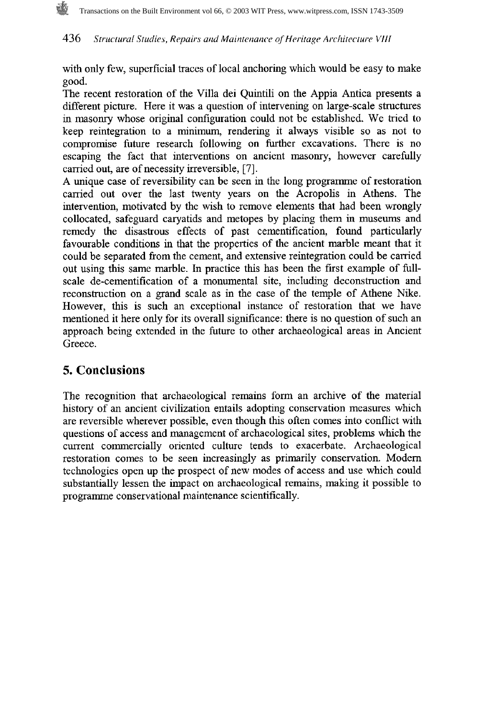with only few, superficial traces of local anchoring which would be easy to make good.

The recent restoration of the Villa dei Quintili on the Appia Antica presents a different picture. Here it was a question of intervening on large-scale structures in masonry whose original configuration could not be established. We tried to keep reintegration to a minimum, rendering it always visible so as not to compromise future research following on further excavations. There is no escaping the fact that interventions on ancient masonry, however carefully carried out, are of necessity irreversible, [7].

**A** unique case of reversibility can be seen in the long programme of restoration carried out over the last twenty years on the Acropolis in Athens. The intervention, motivated by the wish to remove elements that had been wrongly collocated, safeguard caryatids and metopes by placing them in museums and remedy the disastrous effects of past cementification, found particularly favourable conditions in that the properties of the ancient marble meant that it could be separated from the cement, and extensive reintegration could be carried out using this same marble. In practice this has been the first example of fullscale de-cementification of a monumental site, including deconstruction and reconstruction on a grand scale as in the case of the temple of Athene Nike. However, this is such **an** exceptional instance of restoration that we have mentioned it here only for its overall significance: there is no question of such an approach being extended in the future to other archaeological areas in Ancient Greece.

# 5. **Conclusions**

The recognition that archaeological remains form an archive of the material history of an ancient civilization entails adopting conservation measures which are reversible wherever possible, even though this often comes into conflict with questions of access and management of archaeological sites, problems which the current commercially oriented culture tends to exacerbate. Archaeological restoration comes to be seen increasingly as primarily conservation. Modem technologies open up the prospect of new modes of access and use which could substantially lessen the impact on archaeological remains, making it possible to programme conservational maintenance scientifically.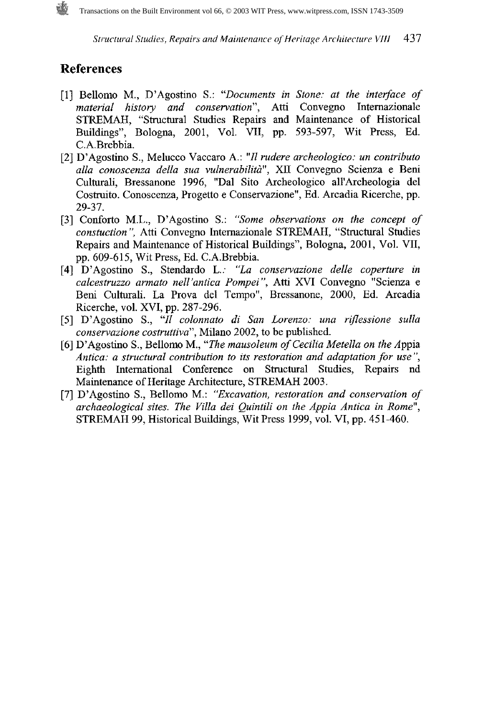## **References**

- [l] Bellomo M., D'Agostino S.: *"Documents in Stone: at the interface of material histoy and conservation",* Atti Convegno Intemazionale STREMAH, "Structural Studies Repairs and Maintenance of Historical Buildings", Bologna, 2001, Vol. VII, pp. 593-597, Wit Press, Ed. C.A.Brebbia.
- [2] D'Agostino S., Melucco Vaccaro A.: *"I1 rudere archeologico: un contributo*  alla conoscenza della sua vulnerabilità", XII Convegno Scienza e Beni Culturali, Bressanone 1996, "Dal Sito Archeologico all'Archeologia del Costruito. Conoscenza, Progetto e Conservazione", Ed. Arcadia Ricerche, pp. 29-37.
- [3] Conforto M.L., D'Agostino S.: *"Some observations on the concept of constuction"*, Atti Convegno Internazionale STREMAH, "Structural Studies Repairs and Maintenance of Historical Buildings", Bologna, 2001, Vol. VII, pp. 609-615, Wit Press, Ed. C.A.Brebbia.
- [4] D'Agostino S., Stendardo L.: *"La consewazione delle coperture in calcestruzzo armato nell 'antica Pompei* ", Atti XVI Convegno "Scienza e Beni Culturali. La Prova del Tempo", Bressanone, 2000, Ed. Arcadia Ricerche, vol. XVI, pp. 287-296.
- [5] D'Agostino S., *"Il colonnato di San Lorenzo: una rzflessione sulla consewazione costruttiva",* Milano 2002, to be published.
- [6] D'Agostino S., Bellomo M., *"The mausoleum of Cecilia Metella on the* Appia *Antica: a structural contribution to its restoration and adaptation for use",*  Eighth International Conference on Structural Studies, Repairs nd Maintenance of Heritage Architecture, STREMAH 2003.
- [7] D'Agostino S., Bellomo M.: *"Excavation, restoration and conservation of archaeological sites. The Villa dei Quintili on the Appia Antica in Rome",*  STREMAH 99, Historical Buildings, Wit Press 1999, vol. VI, pp. 451-460.